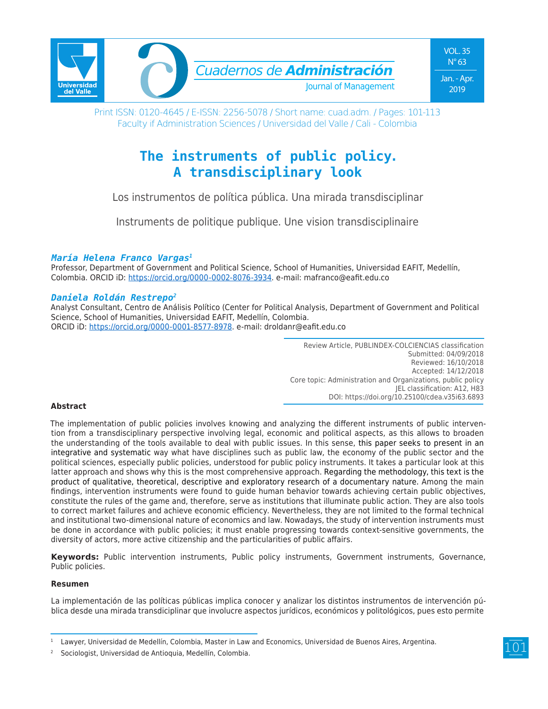

Print ISSN: 0120-4645 / E-ISSN: 2256-5078 / Short name: cuad.adm. / Pages: 101-113 Faculty if Administration Sciences / Universidad del Valle / Cali - Colombia

# **The instruments of public policy. A transdisciplinary look**

Los instrumentos de política pública. Una mirada transdisciplinar

Instruments de politique publique. Une vision transdisciplinaire

### *María Helena Franco Vargas1*

Professor, Department of Government and Political Science, School of Humanities, Universidad EAFIT, Medellín, Colombia. ORCID iD: https://orcid.org/0000-0002-8076-3934. e-mail: mafranco@eafit.edu.co

### *Daniela Roldán Restrepo2*

Analyst Consultant, Centro de Análisis Político (Center for Political Analysis, Department of Government and Political Science, School of Humanities, Universidad EAFIT, Medellín, Colombia. ORCID iD: https://orcid.org/0000-0001-8577-8978. e-mail: droldanr@eafit.edu.co

> Review Article, PUBLINDEX-COLCIENCIAS classification Submitted: 04/09/2018 Reviewed: 16/10/2018 Accepted: 14/12/2018 Core topic: Administration and Organizations, public policy JEL classification: A12, H83 DOI: https://doi.org/10.25100/cdea.v35i63.6893

### **Abstract**

The implementation of public policies involves knowing and analyzing the different instruments of public intervention from a transdisciplinary perspective involving legal, economic and political aspects, as this allows to broaden the understanding of the tools available to deal with public issues. In this sense, this paper seeks to present in an integrative and systematic way what have disciplines such as public law, the economy of the public sector and the political sciences, especially public policies, understood for public policy instruments. It takes a particular look at this latter approach and shows why this is the most comprehensive approach. Regarding the methodology, this text is the product of qualitative, theoretical, descriptive and exploratory research of a documentary nature. Among the main findings, intervention instruments were found to guide human behavior towards achieving certain public objectives, constitute the rules of the game and, therefore, serve as institutions that illuminate public action. They are also tools to correct market failures and achieve economic efficiency. Nevertheless, they are not limited to the formal technical and institutional two-dimensional nature of economics and law. Nowadays, the study of intervention instruments must be done in accordance with public policies; it must enable progressing towards context-sensitive governments, the diversity of actors, more active citizenship and the particularities of public affairs.

**Keywords:** Public intervention instruments, Public policy instruments, Government instruments, Governance, Public policies.

### **Resumen**

La implementación de las políticas públicas implica conocer y analizar los distintos instrumentos de intervención pública desde una mirada transdiciplinar que involucre aspectos jurídicos, económicos y politológicos, pues esto permite

Lawyer, Universidad de Medellín, Colombia, Master in Law and Economics, Universidad de Buenos Aires, Argentina.

Sociologist, Universidad de Antioquia, Medellín, Colombia.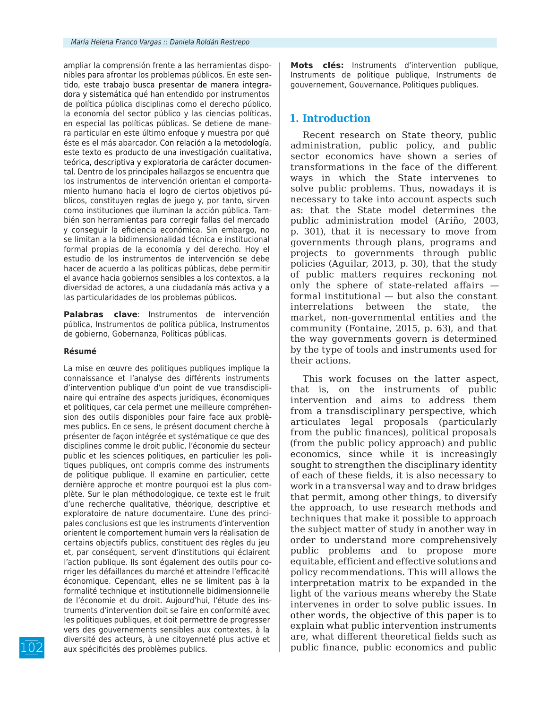ampliar la comprensión frente a las herramientas disponibles para afrontar los problemas públicos. En este sentido, este trabajo busca presentar de manera integradora y sistemática qué han entendido por instrumentos de política pública disciplinas como el derecho público, la economía del sector público y las ciencias políticas, en especial las políticas públicas. Se detiene de manera particular en este último enfoque y muestra por qué éste es el más abarcador. Con relación a la metodología, este texto es producto de una investigación cualitativa, teórica, descriptiva y exploratoria de carácter documental. Dentro de los principales hallazgos se encuentra que los instrumentos de intervención orientan el comportamiento humano hacia el logro de ciertos objetivos públicos, constituyen reglas de juego y, por tanto, sirven como instituciones que iluminan la acción pública. También son herramientas para corregir fallas del mercado y conseguir la eficiencia económica. Sin embargo, no se limitan a la bidimensionalidad técnica e institucional formal propias de la economía y del derecho. Hoy el estudio de los instrumentos de intervención se debe hacer de acuerdo a las políticas públicas, debe permitir el avance hacia gobiernos sensibles a los contextos, a la diversidad de actores, a una ciudadanía más activa y a las particularidades de los problemas públicos.

**Palabras clave**: Instrumentos de intervención pública, Instrumentos de política pública, Instrumentos de gobierno, Gobernanza, Políticas públicas.

#### **Résumé**

La mise en œuvre des politiques publiques implique la connaissance et l'analyse des différents instruments d'intervention publique d'un point de vue transdisciplinaire qui entraîne des aspects juridiques, économiques et politiques, car cela permet une meilleure compréhension des outils disponibles pour faire face aux problèmes publics. En ce sens, le présent document cherche à présenter de façon intégrée et systématique ce que des disciplines comme le droit public, l'économie du secteur public et les sciences politiques, en particulier les politiques publiques, ont compris comme des instruments de politique publique. Il examine en particulier, cette dernière approche et montre pourquoi est la plus complète. Sur le plan méthodologique, ce texte est le fruit d'une recherche qualitative, théorique, descriptive et exploratoire de nature documentaire. L'une des principales conclusions est que les instruments d'intervention orientent le comportement humain vers la réalisation de certains objectifs publics, constituent des règles du jeu et, par conséquent, servent d'institutions qui éclairent l'action publique. Ils sont également des outils pour corriger les défaillances du marché et atteindre l'efficacité économique. Cependant, elles ne se limitent pas à la formalité technique et institutionnelle bidimensionnelle de l'économie et du droit. Aujourd'hui, l'étude des instruments d'intervention doit se faire en conformité avec les politiques publiques, et doit permettre de progresser vers des gouvernements sensibles aux contextes, à la diversité des acteurs, à une citoyenneté plus active et aux spécificités des problèmes publics.

**Mots clés:** Instruments d'intervention publique, Instruments de politique publique, Instruments de gouvernement, Gouvernance, Politiques publiques.

### **1. Introduction**

Recent research on State theory, public administration, public policy, and public sector economics have shown a series of transformations in the face of the different ways in which the State intervenes to solve public problems. Thus, nowadays it is necessary to take into account aspects such as: that the State model determines the public administration model (Ariño, 2003, p. 301), that it is necessary to move from governments through plans, programs and projects to governments through public policies (Aguilar, 2013, p. 30), that the study of public matters requires reckoning not only the sphere of state-related affairs formal institutional — but also the constant interrelations between the state, the market, non-governmental entities and the community (Fontaine, 2015, p. 63), and that the way governments govern is determined by the type of tools and instruments used for their actions.

This work focuses on the latter aspect, that is, on the instruments of public intervention and aims to address them from a transdisciplinary perspective, which articulates legal proposals (particularly from the public finances), political proposals (from the public policy approach) and public economics, since while it is increasingly sought to strengthen the disciplinary identity of each of these fields, it is also necessary to work in a transversal way and to draw bridges that permit, among other things, to diversify the approach, to use research methods and techniques that make it possible to approach the subject matter of study in another way in order to understand more comprehensively public problems and to propose more equitable, efficient and effective solutions and policy recommendations. This will allows the interpretation matrix to be expanded in the light of the various means whereby the State intervenes in order to solve public issues. In other words, the objective of this paper is to explain what public intervention instruments are, what different theoretical fields such as public finance, public economics and public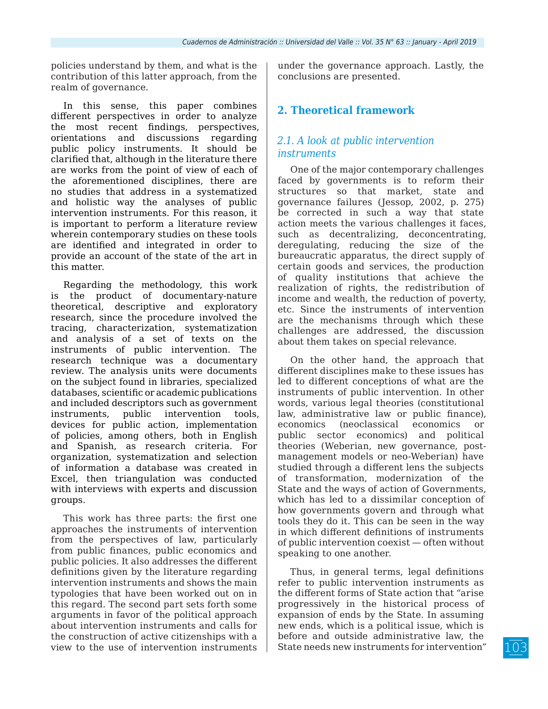policies understand by them, and what is the contribution of this latter approach, from the realm of governance.

In this sense, this paper combines different perspectives in order to analyze the most recent findings, perspectives, orientations and discussions regarding public policy instruments. It should be clarified that, although in the literature there are works from the point of view of each of the aforementioned disciplines, there are no studies that address in a systematized and holistic way the analyses of public intervention instruments. For this reason, it is important to perform a literature review wherein contemporary studies on these tools are identified and integrated in order to provide an account of the state of the art in this matter.

Regarding the methodology, this work is the product of documentary-nature theoretical, descriptive and exploratory research, since the procedure involved the tracing, characterization, systematization and analysis of a set of texts on the instruments of public intervention. The research technique was a documentary review. The analysis units were documents on the subject found in libraries, specialized databases, scientific or academic publications and included descriptors such as government instruments, public intervention tools, devices for public action, implementation of policies, among others, both in English and Spanish, as research criteria. For organization, systematization and selection of information a database was created in Excel, then triangulation was conducted with interviews with experts and discussion groups.

This work has three parts: the first one approaches the instruments of intervention from the perspectives of law, particularly from public finances, public economics and public policies. It also addresses the different definitions given by the literature regarding intervention instruments and shows the main typologies that have been worked out on in this regard. The second part sets forth some arguments in favor of the political approach about intervention instruments and calls for the construction of active citizenships with a view to the use of intervention instruments

under the governance approach. Lastly, the conclusions are presented.

# **2. Theoretical framework**

# *2.1. A look at public intervention instruments*

One of the major contemporary challenges faced by governments is to reform their structures so that market, state and governance failures (Jessop, 2002, p. 275) be corrected in such a way that state action meets the various challenges it faces, such as decentralizing, deconcentrating, deregulating, reducing the size of the bureaucratic apparatus, the direct supply of certain goods and services, the production of quality institutions that achieve the realization of rights, the redistribution of income and wealth, the reduction of poverty, etc. Since the instruments of intervention are the mechanisms through which these challenges are addressed, the discussion about them takes on special relevance.

On the other hand, the approach that different disciplines make to these issues has led to different conceptions of what are the instruments of public intervention. In other words, various legal theories (constitutional law, administrative law or public finance), economics (neoclassical economics or public sector economics) and political theories (Weberian, new governance, postmanagement models or neo-Weberian) have studied through a different lens the subjects of transformation, modernization of the State and the ways of action of Governments, which has led to a dissimilar conception of how governments govern and through what tools they do it. This can be seen in the way in which different definitions of instruments of public intervention coexist — often without speaking to one another.

Thus, in general terms, legal definitions refer to public intervention instruments as the different forms of State action that "arise progressively in the historical process of expansion of ends by the State. In assuming new ends, which is a political issue, which is before and outside administrative law, the State needs new instruments for intervention"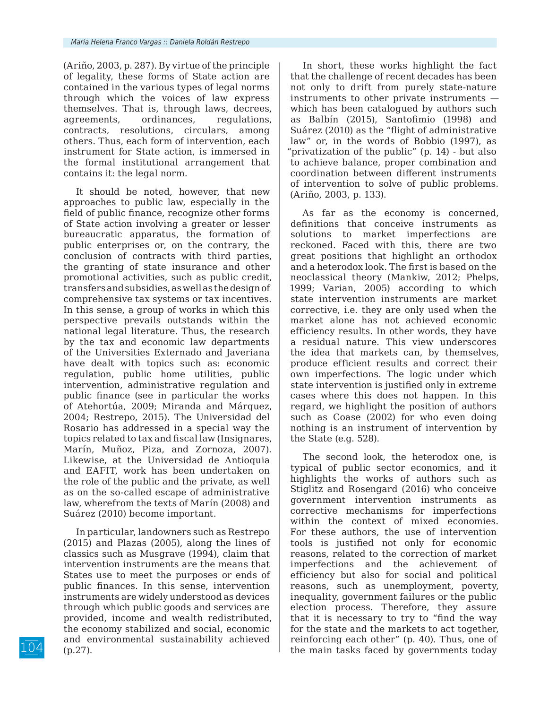(Ariño, 2003, p. 287). By virtue of the principle of legality, these forms of State action are contained in the various types of legal norms through which the voices of law express themselves. That is, through laws, decrees, agreements, ordinances, regulations, contracts, resolutions, circulars, among others. Thus, each form of intervention, each instrument for State action, is immersed in the formal institutional arrangement that contains it: the legal norm.

It should be noted, however, that new approaches to public law, especially in the field of public finance, recognize other forms of State action involving a greater or lesser bureaucratic apparatus, the formation of public enterprises or, on the contrary, the conclusion of contracts with third parties, the granting of state insurance and other promotional activities, such as public credit, transfers and subsidies, as well as the design of comprehensive tax systems or tax incentives. In this sense, a group of works in which this perspective prevails outstands within the national legal literature. Thus, the research by the tax and economic law departments of the Universities Externado and Javeriana have dealt with topics such as: economic regulation, public home utilities, public intervention, administrative regulation and public finance (see in particular the works of Atehortúa, 2009; Miranda and Márquez, 2004; Restrepo, 2015). The Universidad del Rosario has addressed in a special way the topics related to tax and fiscal law (Insignares, Marín, Muñoz, Piza, and Zornoza, 2007). Likewise, at the Universidad de Antioquia and EAFIT, work has been undertaken on the role of the public and the private, as well as on the so-called escape of administrative law, wherefrom the texts of Marín (2008) and Suárez (2010) become important.

In particular, landowners such as Restrepo (2015) and Plazas (2005), along the lines of classics such as Musgrave (1994), claim that intervention instruments are the means that States use to meet the purposes or ends of public finances. In this sense, intervention instruments are widely understood as devices through which public goods and services are provided, income and wealth redistributed, the economy stabilized and social, economic and environmental sustainability achieved (p.27).

In short, these works highlight the fact that the challenge of recent decades has been not only to drift from purely state-nature instruments to other private instruments which has been catalogued by authors such as Balbín (2015), Santofimio (1998) and Suárez (2010) as the "flight of administrative law" or, in the words of Bobbio (1997), as "privatization of the public" (p. 14) - but also to achieve balance, proper combination and coordination between different instruments of intervention to solve of public problems. (Ariño, 2003, p. 133).

As far as the economy is concerned, definitions that conceive instruments as solutions to market imperfections are reckoned. Faced with this, there are two great positions that highlight an orthodox and a heterodox look. The first is based on the neoclassical theory (Mankiw, 2012; Phelps, 1999; Varian, 2005) according to which state intervention instruments are market corrective, i.e. they are only used when the market alone has not achieved economic efficiency results. In other words, they have a residual nature. This view underscores the idea that markets can, by themselves, produce efficient results and correct their own imperfections. The logic under which state intervention is justified only in extreme cases where this does not happen. In this regard, we highlight the position of authors such as Coase (2002) for who even doing nothing is an instrument of intervention by the State (e.g. 528).

The second look, the heterodox one, is typical of public sector economics, and it highlights the works of authors such as Stiglitz and Rosengard (2016) who conceive government intervention instruments as corrective mechanisms for imperfections within the context of mixed economies. For these authors, the use of intervention tools is justified not only for economic reasons, related to the correction of market imperfections and the achievement of efficiency but also for social and political reasons, such as unemployment, poverty, inequality, government failures or the public election process. Therefore, they assure that it is necessary to try to "find the way for the state and the markets to act together, reinforcing each other" (p. 40). Thus, one of the main tasks faced by governments today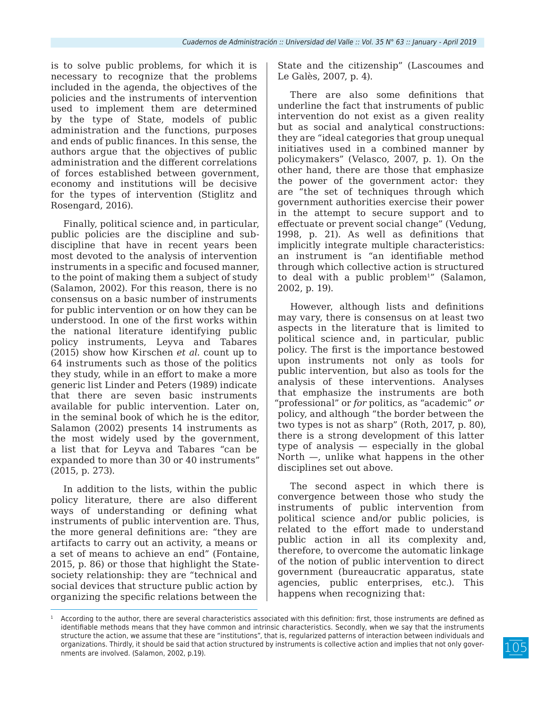is to solve public problems, for which it is necessary to recognize that the problems included in the agenda, the objectives of the policies and the instruments of intervention used to implement them are determined by the type of State, models of public administration and the functions, purposes and ends of public finances. In this sense, the authors argue that the objectives of public administration and the different correlations of forces established between government, economy and institutions will be decisive for the types of intervention (Stiglitz and Rosengard, 2016).

Finally, political science and, in particular, public policies are the discipline and subdiscipline that have in recent years been most devoted to the analysis of intervention instruments in a specific and focused manner, to the point of making them a subject of study (Salamon, 2002). For this reason, there is no consensus on a basic number of instruments for public intervention or on how they can be understood. In one of the first works within the national literature identifying public policy instruments, Leyva and Tabares (2015) show how Kirschen *et al.* count up to 64 instruments such as those of the politics they study, while in an effort to make a more generic list Linder and Peters (1989) indicate that there are seven basic instruments available for public intervention. Later on, in the seminal book of which he is the editor, Salamon (2002) presents 14 instruments as the most widely used by the government, a list that for Leyva and Tabares "can be expanded to more than 30 or 40 instruments" (2015, p. 273).

In addition to the lists, within the public policy literature, there are also different ways of understanding or defining what instruments of public intervention are. Thus, the more general definitions are: "they are artifacts to carry out an activity, a means or a set of means to achieve an end" (Fontaine, 2015, p. 86) or those that highlight the Statesociety relationship: they are "technical and social devices that structure public action by organizing the specific relations between the

State and the citizenship" (Lascoumes and Le Galès, 2007, p. 4).

There are also some definitions that underline the fact that instruments of public intervention do not exist as a given reality but as social and analytical constructions: they are "ideal categories that group unequal initiatives used in a combined manner by policymakers" (Velasco, 2007, p. 1). On the other hand, there are those that emphasize the power of the government actor: they are "the set of techniques through which government authorities exercise their power in the attempt to secure support and to effectuate or prevent social change" (Vedung, 1998, p. 21). As well as definitions that implicitly integrate multiple characteristics: an instrument is "an identifiable method through which collective action is structured to deal with a public  $problem<sup>1</sup>$  (Salamon, 2002, p. 19).

However, although lists and definitions may vary, there is consensus on at least two aspects in the literature that is limited to political science and, in particular, public policy. The first is the importance bestowed upon instruments not only as tools for public intervention, but also as tools for the analysis of these interventions. Analyses that emphasize the instruments are both "professional" or *for* politics, as "academic" *or* policy, and although "the border between the two types is not as sharp" (Roth, 2017, p. 80), there is a strong development of this latter type of analysis — especially in the global North —, unlike what happens in the other disciplines set out above.

The second aspect in which there is convergence between those who study the instruments of public intervention from political science and/or public policies, is related to the effort made to understand public action in all its complexity and, therefore, to overcome the automatic linkage of the notion of public intervention to direct government (bureaucratic apparatus, state agencies, public enterprises, etc.). This happens when recognizing that:

 $1$  According to the author, there are several characteristics associated with this definition: first, those instruments are defined as identifiable methods means that they have common and intrinsic characteristics. Secondly, when we say that the instruments structure the action, we assume that these are "institutions", that is, regularized patterns of interaction between individuals and organizations. Thirdly, it should be said that action structured by instruments is collective action and implies that not only governments are involved. (Salamon, 2002, p.19).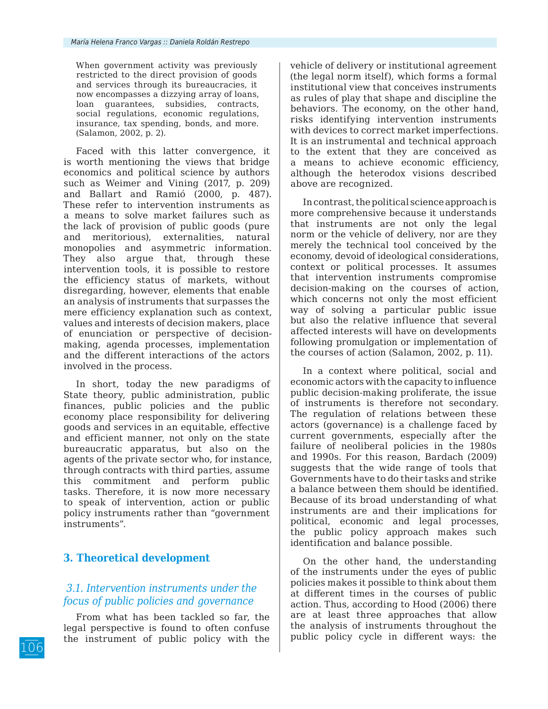When government activity was previously restricted to the direct provision of goods and services through its bureaucracies, it now encompasses a dizzying array of loans, loan guarantees, subsidies, contracts, social regulations, economic regulations, insurance, tax spending, bonds, and more. (Salamon, 2002, p. 2).

Faced with this latter convergence, it is worth mentioning the views that bridge economics and political science by authors such as Weimer and Vining (2017, p. 209) and Ballart and Ramió (2000, p. 487). These refer to intervention instruments as a means to solve market failures such as the lack of provision of public goods (pure and meritorious), externalities, natural monopolies and asymmetric information. They also argue that, through these intervention tools, it is possible to restore the efficiency status of markets, without disregarding, however, elements that enable an analysis of instruments that surpasses the mere efficiency explanation such as context, values and interests of decision makers, place of enunciation or perspective of decisionmaking, agenda processes, implementation and the different interactions of the actors involved in the process.

In short, today the new paradigms of State theory, public administration, public finances, public policies and the public economy place responsibility for delivering goods and services in an equitable, effective and efficient manner, not only on the state bureaucratic apparatus, but also on the agents of the private sector who, for instance, through contracts with third parties, assume this commitment and perform public tasks. Therefore, it is now more necessary to speak of intervention, action or public policy instruments rather than "government instruments".

# **3. Theoretical development**

# *3.1. Intervention instruments under the focus of public policies and governance*

From what has been tackled so far, the legal perspective is found to often confuse the instrument of public policy with the vehicle of delivery or institutional agreement (the legal norm itself), which forms a formal institutional view that conceives instruments as rules of play that shape and discipline the behaviors. The economy, on the other hand, risks identifying intervention instruments with devices to correct market imperfections. It is an instrumental and technical approach to the extent that they are conceived as a means to achieve economic efficiency, although the heterodox visions described above are recognized.

In contrast, the political science approach is more comprehensive because it understands that instruments are not only the legal norm or the vehicle of delivery, nor are they merely the technical tool conceived by the economy, devoid of ideological considerations, context or political processes. It assumes that intervention instruments compromise decision-making on the courses of action, which concerns not only the most efficient way of solving a particular public issue but also the relative influence that several affected interests will have on developments following promulgation or implementation of the courses of action (Salamon, 2002, p. 11).

In a context where political, social and economic actors with the capacity to influence public decision-making proliferate, the issue of instruments is therefore not secondary. The regulation of relations between these actors (governance) is a challenge faced by current governments, especially after the failure of neoliberal policies in the 1980s and 1990s. For this reason, Bardach (2009) suggests that the wide range of tools that Governments have to do their tasks and strike a balance between them should be identified. Because of its broad understanding of what instruments are and their implications for political, economic and legal processes, the public policy approach makes such identification and balance possible.

On the other hand, the understanding of the instruments under the eyes of public policies makes it possible to think about them at different times in the courses of public action. Thus, according to Hood (2006) there are at least three approaches that allow the analysis of instruments throughout the public policy cycle in different ways: the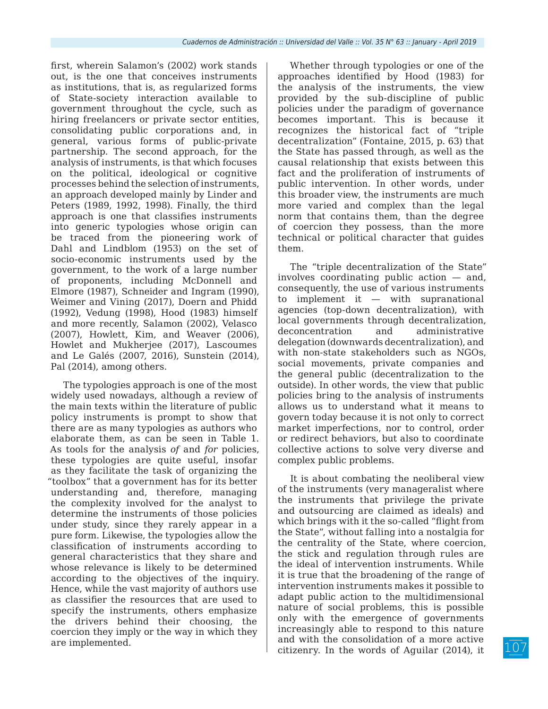first, wherein Salamon's (2002) work stands out, is the one that conceives instruments as institutions, that is, as regularized forms of State-society interaction available to government throughout the cycle, such as hiring freelancers or private sector entities, consolidating public corporations and, in general, various forms of public-private partnership. The second approach, for the analysis of instruments, is that which focuses on the political, ideological or cognitive processes behind the selection of instruments, an approach developed mainly by Linder and Peters (1989, 1992, 1998). Finally, the third approach is one that classifies instruments into generic typologies whose origin can be traced from the pioneering work of Dahl and Lindblom (1953) on the set of socio-economic instruments used by the government, to the work of a large number of proponents, including McDonnell and Elmore (1987), Schneider and Ingram (1990), Weimer and Vining (2017), Doern and Phidd (1992), Vedung (1998), Hood (1983) himself and more recently, Salamon (2002), Velasco (2007), Howlett, Kim, and Weaver (2006), Howlet and Mukherjee (2017), Lascoumes and Le Galés (2007, 2016), Sunstein (2014), Pal (2014), among others.

The typologies approach is one of the most widely used nowadays, although a review of the main texts within the literature of public policy instruments is prompt to show that there are as many typologies as authors who elaborate them, as can be seen in Table 1. As tools for the analysis *of* and *for* policies, these typologies are quite useful, insofar as they facilitate the task of organizing the "toolbox" that a government has for its better understanding and, therefore, managing the complexity involved for the analyst to determine the instruments of those policies under study, since they rarely appear in a pure form. Likewise, the typologies allow the classification of instruments according to general characteristics that they share and whose relevance is likely to be determined according to the objectives of the inquiry. Hence, while the vast majority of authors use as classifier the resources that are used to specify the instruments, others emphasize the drivers behind their choosing, the coercion they imply or the way in which they are implemented.

Whether through typologies or one of the approaches identified by Hood (1983) for the analysis of the instruments, the view provided by the sub-discipline of public policies under the paradigm of governance becomes important. This is because it recognizes the historical fact of "triple decentralization" (Fontaine, 2015, p. 63) that the State has passed through, as well as the causal relationship that exists between this fact and the proliferation of instruments of public intervention. In other words, under this broader view, the instruments are much more varied and complex than the legal norm that contains them, than the degree of coercion they possess, than the more technical or political character that guides them.

The "triple decentralization of the State" involves coordinating public action — and, consequently, the use of various instruments to implement it — with supranational agencies (top-down decentralization), with local governments through decentralization, deconcentration and administrative delegation (downwards decentralization), and with non-state stakeholders such as NGOs, social movements, private companies and the general public (decentralization to the outside). In other words, the view that public policies bring to the analysis of instruments allows us to understand what it means to govern today because it is not only to correct market imperfections, nor to control, order or redirect behaviors, but also to coordinate collective actions to solve very diverse and complex public problems.

It is about combating the neoliberal view of the instruments (very manageralist where the instruments that privilege the private and outsourcing are claimed as ideals) and which brings with it the so-called "flight from the State", without falling into a nostalgia for the centrality of the State, where coercion, the stick and regulation through rules are the ideal of intervention instruments. While it is true that the broadening of the range of intervention instruments makes it possible to adapt public action to the multidimensional nature of social problems, this is possible only with the emergence of governments increasingly able to respond to this nature and with the consolidation of a more active citizenry. In the words of Aguilar (2014), it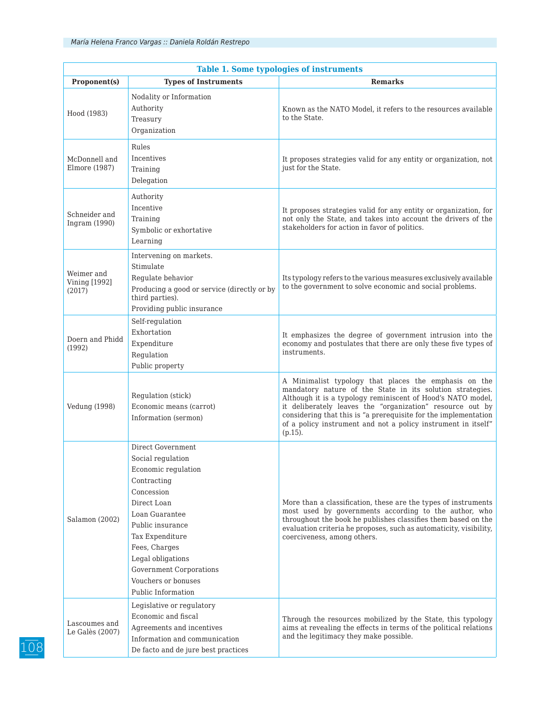| <b>Table 1. Some typologies of instruments</b> |                                                                                                                                                                                                                                                                                  |                                                                                                                                                                                                                                                                                                                                                                                                  |  |
|------------------------------------------------|----------------------------------------------------------------------------------------------------------------------------------------------------------------------------------------------------------------------------------------------------------------------------------|--------------------------------------------------------------------------------------------------------------------------------------------------------------------------------------------------------------------------------------------------------------------------------------------------------------------------------------------------------------------------------------------------|--|
| Proponent(s)                                   | <b>Types of Instruments</b>                                                                                                                                                                                                                                                      | <b>Remarks</b>                                                                                                                                                                                                                                                                                                                                                                                   |  |
| Hood (1983)                                    | Nodality or Information<br>Authority<br>Treasury<br>Organization                                                                                                                                                                                                                 | Known as the NATO Model, it refers to the resources available<br>to the State.                                                                                                                                                                                                                                                                                                                   |  |
| McDonnell and<br>Elmore (1987)                 | Rules<br>Incentives<br>Training<br>Delegation                                                                                                                                                                                                                                    | It proposes strategies valid for any entity or organization, not<br>just for the State.                                                                                                                                                                                                                                                                                                          |  |
| Schneider and<br>Ingram (1990)                 | Authority<br>Incentive<br>Training<br>Symbolic or exhortative<br>Learning                                                                                                                                                                                                        | It proposes strategies valid for any entity or organization, for<br>not only the State, and takes into account the drivers of the<br>stakeholders for action in favor of politics.                                                                                                                                                                                                               |  |
| Weimer and<br><b>Vining [1992]</b><br>(2017)   | Intervening on markets.<br>Stimulate<br>Regulate behavior<br>Producing a good or service (directly or by<br>third parties).<br>Providing public insurance                                                                                                                        | Its typology refers to the various measures exclusively available<br>to the government to solve economic and social problems.                                                                                                                                                                                                                                                                    |  |
| Doern and Phidd<br>(1992)                      | Self-regulation<br>Exhortation<br>Expenditure<br>Regulation<br>Public property                                                                                                                                                                                                   | It emphasizes the degree of government intrusion into the<br>economy and postulates that there are only these five types of<br>instruments.                                                                                                                                                                                                                                                      |  |
| <b>Vedung (1998)</b>                           | Regulation (stick)<br>Economic means (carrot)<br>Information (sermon)                                                                                                                                                                                                            | A Minimalist typology that places the emphasis on the<br>mandatory nature of the State in its solution strategies.<br>Although it is a typology reminiscent of Hood's NATO model,<br>it deliberately leaves the "organization" resource out by<br>considering that this is "a prerequisite for the implementation<br>of a policy instrument and not a policy instrument in itself"<br>$(p.15)$ . |  |
| Salamon (2002)                                 | Direct Government<br>Social regulation<br>Economic regulation<br>Contracting<br>Concession<br>Direct Loan<br>Loan Guarantee<br>Public insurance<br>Tax Expenditure<br>Fees, Charges<br>Legal obligations<br>Government Corporations<br>Vouchers or bonuses<br>Public Information | More than a classification, these are the types of instruments<br>most used by governments according to the author, who<br>throughout the book he publishes classifies them based on the<br>evaluation criteria he proposes, such as automaticity, visibility,<br>coerciveness, among others.                                                                                                    |  |
| Lascoumes and<br>Le Galès (2007)               | Legislative or regulatory<br>Economic and fiscal<br>Agreements and incentives<br>Information and communication<br>De facto and de jure best practices                                                                                                                            | Through the resources mobilized by the State, this typology<br>aims at revealing the effects in terms of the political relations<br>and the legitimacy they make possible.                                                                                                                                                                                                                       |  |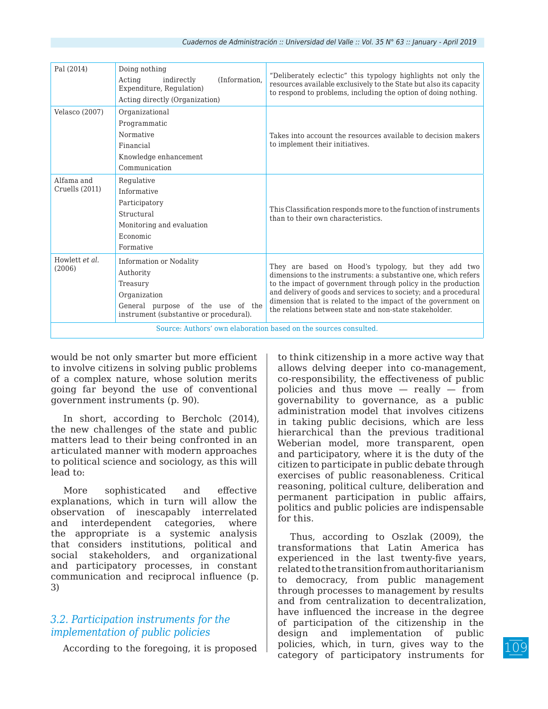| Pal (2014)                                                       | Doing nothing<br>(Information,<br>Acting<br>indirectly<br>Expenditure, Regulation)<br>Acting directly (Organization)                             | "Deliberately eclectic" this typology highlights not only the<br>resources available exclusively to the State but also its capacity<br>to respond to problems, including the option of doing nothing.                                                                                                                                                                              |  |
|------------------------------------------------------------------|--------------------------------------------------------------------------------------------------------------------------------------------------|------------------------------------------------------------------------------------------------------------------------------------------------------------------------------------------------------------------------------------------------------------------------------------------------------------------------------------------------------------------------------------|--|
| Velasco (2007)                                                   | Organizational<br>Programmatic<br>Normative<br>Financial<br>Knowledge enhancement<br>Communication                                               | Takes into account the resources available to decision makers<br>to implement their initiatives.                                                                                                                                                                                                                                                                                   |  |
| Alfama and<br>Cruells (2011)                                     | Regulative<br>Informative<br>Participatory<br>Structural<br>Monitoring and evaluation<br>Economic<br>Formative                                   | This Classification responds more to the function of instruments<br>than to their own characteristics.                                                                                                                                                                                                                                                                             |  |
| Howlett et al.<br>(2006)                                         | Information or Nodality<br>Authority<br>Treasury<br>Organization<br>General purpose of the use of the<br>instrument (substantive or procedural). | They are based on Hood's typology, but they add two<br>dimensions to the instruments: a substantive one, which refers<br>to the impact of government through policy in the production<br>and delivery of goods and services to society; and a procedural<br>dimension that is related to the impact of the government on<br>the relations between state and non-state stakeholder. |  |
| Source: Authors' own elaboration based on the sources consulted. |                                                                                                                                                  |                                                                                                                                                                                                                                                                                                                                                                                    |  |

would be not only smarter but more efficient to involve citizens in solving public problems of a complex nature, whose solution merits going far beyond the use of conventional government instruments (p. 90).

In short, according to Bercholc (2014), the new challenges of the state and public matters lead to their being confronted in an articulated manner with modern approaches to political science and sociology, as this will lead to:

More sophisticated and effective explanations, which in turn will allow the observation of inescapably interrelated and interdependent categories, where the appropriate is a systemic analysis that considers institutions, political and social stakeholders, and organizational and participatory processes, in constant communication and reciprocal influence (p. 3)

# *3.2. Participation instruments for the implementation of public policies*

According to the foregoing, it is proposed

to think citizenship in a more active way that allows delving deeper into co-management, co-responsibility, the effectiveness of public policies and thus move  $-$  really  $-$  from governability to governance, as a public administration model that involves citizens in taking public decisions, which are less hierarchical than the previous traditional Weberian model, more transparent, open and participatory, where it is the duty of the citizen to participate in public debate through exercises of public reasonableness. Critical reasoning, political culture, deliberation and permanent participation in public affairs, politics and public policies are indispensable for this.

Thus, according to Oszlak (2009), the transformations that Latin America has experienced in the last twenty-five years, related to the transition from authoritarianism to democracy, from public management through processes to management by results and from centralization to decentralization, have influenced the increase in the degree of participation of the citizenship in the design and implementation of public policies, which, in turn, gives way to the category of participatory instruments for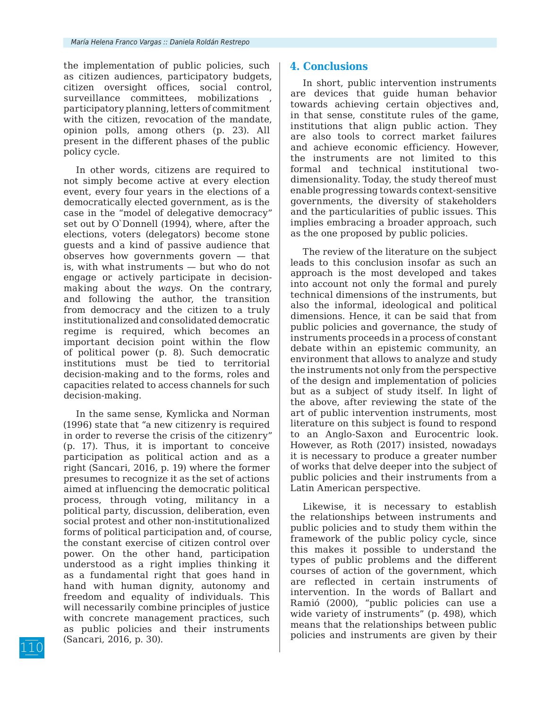the implementation of public policies, such as citizen audiences, participatory budgets, citizen oversight offices, social control, surveillance committees, mobilizations participatory planning, letters of commitment with the citizen, revocation of the mandate, opinion polls, among others (p. 23). All present in the different phases of the public policy cycle.

In other words, citizens are required to not simply become active at every election event, every four years in the elections of a democratically elected government, as is the case in the "model of delegative democracy" set out by O`Donnell (1994), where, after the elections, voters (delegators) become stone guests and a kind of passive audience that observes how governments govern — that is, with what instruments — but who do not engage or actively participate in decisionmaking about the *ways*. On the contrary, and following the author, the transition from democracy and the citizen to a truly institutionalized and consolidated democratic regime is required, which becomes an important decision point within the flow of political power (p. 8). Such democratic institutions must be tied to territorial decision-making and to the forms, roles and capacities related to access channels for such decision-making.

In the same sense, Kymlicka and Norman (1996) state that "a new citizenry is required in order to reverse the crisis of the citizenry" (p. 17). Thus, it is important to conceive participation as political action and as a right (Sancari, 2016, p. 19) where the former presumes to recognize it as the set of actions aimed at influencing the democratic political process, through voting, militancy in a political party, discussion, deliberation, even social protest and other non-institutionalized forms of political participation and, of course, the constant exercise of citizen control over power. On the other hand, participation understood as a right implies thinking it as a fundamental right that goes hand in hand with human dignity, autonomy and freedom and equality of individuals. This will necessarily combine principles of justice with concrete management practices, such as public policies and their instruments (Sancari, 2016, p. 30).

### **4. Conclusions**

In short, public intervention instruments are devices that guide human behavior towards achieving certain objectives and, in that sense, constitute rules of the game, institutions that align public action. They are also tools to correct market failures and achieve economic efficiency. However, the instruments are not limited to this formal and technical institutional twodimensionality. Today, the study thereof must enable progressing towards context-sensitive governments, the diversity of stakeholders and the particularities of public issues. This implies embracing a broader approach, such as the one proposed by public policies.

The review of the literature on the subject leads to this conclusion insofar as such an approach is the most developed and takes into account not only the formal and purely technical dimensions of the instruments, but also the informal, ideological and political dimensions. Hence, it can be said that from public policies and governance, the study of instruments proceeds in a process of constant debate within an epistemic community, an environment that allows to analyze and study the instruments not only from the perspective of the design and implementation of policies but as a subject of study itself. In light of the above, after reviewing the state of the art of public intervention instruments, most literature on this subject is found to respond to an Anglo-Saxon and Eurocentric look. However, as Roth (2017) insisted, nowadays it is necessary to produce a greater number of works that delve deeper into the subject of public policies and their instruments from a Latin American perspective.

Likewise, it is necessary to establish the relationships between instruments and public policies and to study them within the framework of the public policy cycle, since this makes it possible to understand the types of public problems and the different courses of action of the government, which are reflected in certain instruments of intervention. In the words of Ballart and Ramió (2000), "public policies can use a wide variety of instruments" (p. 498), which means that the relationships between public policies and instruments are given by their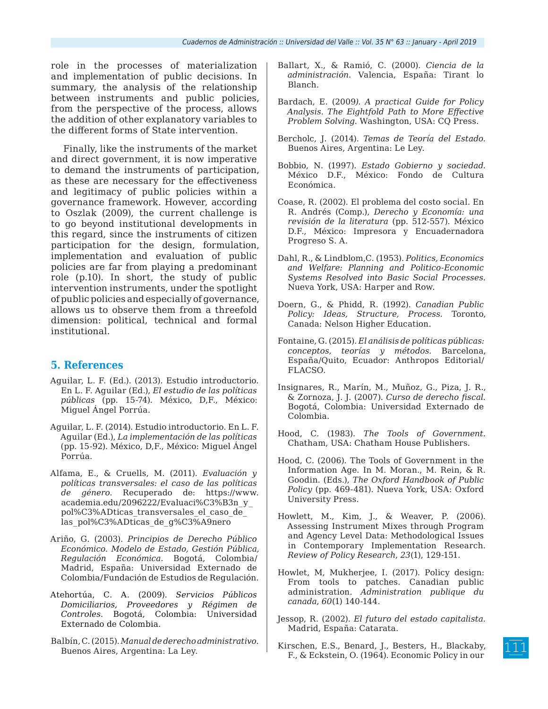role in the processes of materialization and implementation of public decisions. In summary, the analysis of the relationship between instruments and public policies, from the perspective of the process, allows the addition of other explanatory variables to the different forms of State intervention.

Finally, like the instruments of the market and direct government, it is now imperative to demand the instruments of participation, as these are necessary for the effectiveness and legitimacy of public policies within a governance framework. However, according to Oszlak (2009), the current challenge is to go beyond institutional developments in this regard, since the instruments of citizen participation for the design, formulation, implementation and evaluation of public policies are far from playing a predominant role (p.10). In short, the study of public intervention instruments, under the spotlight of public policies and especially of governance, allows us to observe them from a threefold dimension: political, technical and formal institutional.

# **5. References**

- Aguilar, L. F. (Ed.). (2013). Estudio introductorio. En L. F. Aguilar (Ed.), *El estudio de las políticas públicas* (pp. 15-74). México, D,F., México: Miguel Ángel Porrúa.
- Aguilar, L. F. (2014). Estudio introductorio. En L. F. Aguilar (Ed.), *La implementación de las políticas* (pp. 15-92). México, D,F., México: Miguel Ángel Porrúa.
- Alfama, E., & Cruells, M. (2011). *Evaluación y políticas transversales: el caso de las políticas de género.* Recuperado de: https://www. academia.edu/2096222/Evaluaci%C3%B3n\_y\_ pol%C3%ADticas\_transversales\_el\_caso\_de\_ las\_pol%C3%ADticas\_de\_g%C3%A9nero
- Ariño, G. (2003). *Principios de Derecho Público Económico. Modelo de Estado, Gestión Pública, Regulación Económica*. Bogotá, Colombia/ Madrid, España: Universidad Externado de Colombia/Fundación de Estudios de Regulación.
- Atehortúa, C. A. (2009). *Servicios Públicos Domiciliarios, Proveedores y Régimen de Controles*. Bogotá, Colombia: Universidad Externado de Colombia.
- Balbín, C. (2015). *Manual de derecho administrativo*. Buenos Aires, Argentina: La Ley.
- Ballart, X., & Ramió, C. (2000). *Ciencia de la administración*. Valencia, España: Tirant lo Blanch.
- Bardach, E. (2009*). A practical Guide for Policy Analysis. The Eightfold Path to More Effective Problem Solving.* Washington, USA: CQ Press.
- Bercholc, J. (2014). *Temas de Teoría del Estado*. Buenos Aires, Argentina: Le Ley.
- Bobbio, N. (1997). *Estado Gobierno y sociedad*. México D.F., México: Fondo de Cultura Económica.
- Coase, R. (2002). El problema del costo social. En R. Andrés (Comp.), *Derecho y Economía: una revisión de la literatura* (pp. 512-557). México D.F., México: Impresora y Encuadernadora Progreso S. A.
- Dahl, R., & Lindblom,C. (1953). *Politics, Economics and Welfare: Planning and Politico-Economic Systems Resolved into Basic Social Processes.*  Nueva York, USA: Harper and Row.
- Doern, G., & Phidd, R. (1992). *Canadian Public Policy: Ideas, Structure, Process.* Toronto, Canada: Nelson Higher Education.
- Fontaine, G. (2015). *El análisis de políticas públicas: conceptos, teorías y métodos.* Barcelona, España/Quito, Ecuador: Anthropos Editorial/ FLACSO.
- Insignares, R., Marín, M., Muñoz, G., Piza, J. R., & Zornoza, J. J. (2007). *Curso de derecho fiscal.* Bogotá, Colombia: Universidad Externado de Colombia.
- Hood, C. (1983). *The Tools of Government.*  Chatham, USA: Chatham House Publishers.
- Hood, C. (2006). The Tools of Government in the Information Age. In M. Moran., M. Rein, & R. Goodin. (Eds.), *The Oxford Handbook of Public Policy* (pp. 469-481). Nueva York, USA: Oxford University Press.
- Howlett, M., Kim, J., & Weaver, P. (2006). Assessing Instrument Mixes through Program and Agency Level Data: Methodological Issues in Contemporary Implementation Research. *Review of Policy Research*, *23*(1), 129-151.
- Howlet, M, Mukherjee, I. (2017). Policy design: From tools to patches. Canadian public administration. *Administration publique du canada, 60*(1) 140-144.
- Jessop, R. (2002). *El futuro del estado capitalista*. Madrid, España: Catarata.
- Kirschen, E.S., Benard, J., Besters, H., Blackaby, F., & Eckstein, O. (1964). Economic Policy in our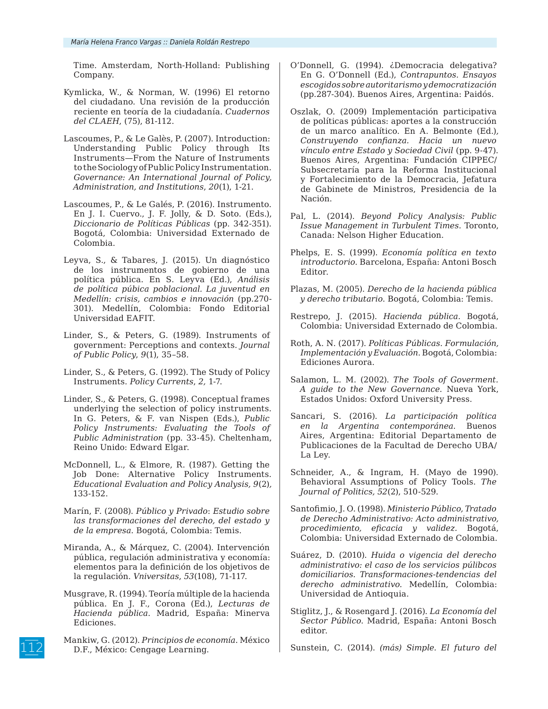Time. Amsterdam, North-Holland: Publishing Company.

- Kymlicka, W., & Norman, W. (1996) El retorno del ciudadano. Una revisión de la producción reciente en teoría de la ciudadanía. *Cuadernos del CLAEH*, (75), 81-112.
- Lascoumes, P., & Le Galès, P. (2007). Introduction: Understanding Public Policy through Its Instruments—From the Nature of Instruments to the Sociology of Public Policy Instrumentation. *Governance: An International Journal of Policy, Administration, and Institutions*, *20*(1), 1-21.
- Lascoumes, P., & Le Galés, P. (2016). Instrumento. En J. I. Cuervo., J. F. Jolly, & D. Soto. (Eds.), *Diccionario de Políticas Públicas* (pp. 342-351). Bogotá, Colombia: Universidad Externado de Colombia.
- Leyva, S., & Tabares, J. (2015). Un diagnóstico de los instrumentos de gobierno de una política pública. En S. Leyva (Ed.), *Análisis de política púbica poblacional. La juventud en Medellín: crisis, cambios e innovación* (pp.270- 301). Medellín, Colombia: Fondo Editorial Universidad EAFIT.
- Linder, S., & Peters, G. (1989). Instruments of government: Perceptions and contexts. *Journal of Public Policy*, *9*(1), 35–58.
- Linder, S., & Peters, G. (1992). The Study of Policy Instruments. *Policy Currents*, *2,* 1-7.
- Linder, S., & Peters, G. (1998). Conceptual frames underlying the selection of policy instruments. In G. Peters, & F. van Nispen (Eds.), *Public Policy Instruments: Evaluating the Tools of Public Administration* (pp. 33-45)*.* Cheltenham, Reino Unido: Edward Elgar.
- McDonnell, L., & Elmore, R. (1987). Getting the Job Done: Alternative Policy Instruments. *Educational Evaluation and Policy Analysis, 9*(2)*,*  133-152.
- Marín, F. (2008). *Público y Privado*: *Estudio sobre las transformaciones del derecho, del estado y de la empresa*. Bogotá, Colombia: Temis.
- Miranda, A., & Márquez, C. (2004). Intervención pública, regulación administrativa y economía: elementos para la definición de los objetivos de la regulación. *Vniversitas*, *53*(108), 71-117.
- Musgrave, R. (1994). Teoría múltiple de la hacienda pública. En J. F., Corona (Ed.), *Lecturas de Hacienda pública*. Madrid, España: Minerva Ediciones.
- Mankiw, G. (2012). *Principios de economía*. México D.F., México: Cengage Learning.
- O'Donnell, G. (1994). ¿Democracia delegativa? En G. O'Donnell (Ed.), *Contrapuntos. Ensayos escogidos sobre autoritarismo y democratización*  (pp.287-304). Buenos Aires, Argentina: Paidós.
- Oszlak, O. (2009) Implementación participativa de políticas públicas: aportes a la construcción de un marco analítico. En A. Belmonte (Ed.)*, Construyendo confianza. Hacia un nuevo vínculo entre Estado y Sociedad Civil* (pp. 9-47). Buenos Aires, Argentina: Fundación CIPPEC/ Subsecretaría para la Reforma Institucional y Fortalecimiento de la Democracia, Jefatura de Gabinete de Ministros, Presidencia de la Nación.
- Pal, L. (2014). *Beyond Policy Analysis: Public Issue Management in Turbulent Times*. Toronto, Canada: Nelson Higher Education.
- Phelps, E. S. (1999). *Economía política en texto introductorio*. Barcelona, España: Antoni Bosch Editor.
- Plazas, M. (2005). *Derecho de la hacienda pública y derecho tributario*. Bogotá, Colombia: Temis.
- Restrepo, J. (2015). *Hacienda pública.* Bogotá, Colombia: Universidad Externado de Colombia.
- Roth, A. N. (2017). *Políticas Públicas. Formulación, Implementación y Evaluación*. Bogotá, Colombia: Ediciones Aurora.
- Salamon, L. M. (2002). *The Tools of Goverment. A guide to the New Governance*. Nueva York, Estados Unidos: Oxford University Press.
- Sancari, S. (2016). *La participación política en la Argentina contemporánea*. Buenos Aires, Argentina: Editorial Departamento de Publicaciones de la Facultad de Derecho UBA/ La Ley.
- Schneider, A., & Ingram, H. (Mayo de 1990). Behavioral Assumptions of Policy Tools. *The Journal of Politics, 52*(2), 510-529.
- Santofimio, J. O. (1998). *Ministerio Público, Tratado de Derecho Administrativo: Acto administrativo, procedimiento, eficacia y validez.* Bogotá, Colombia: Universidad Externado de Colombia.
- Suárez, D. (2010). *Huida o vigencia del derecho administrativo: el caso de los servicios púlibcos domiciliarios. Transformaciones-tendencias del derecho administrativo.* Medellín, Colombia: Universidad de Antioquia.
- Stiglitz, J., & Rosengard J. (2016). *La Economía del Sector Público*. Madrid, España: Antoni Bosch editor.

Sunstein, C. (2014). *(más) Simple. El futuro del*